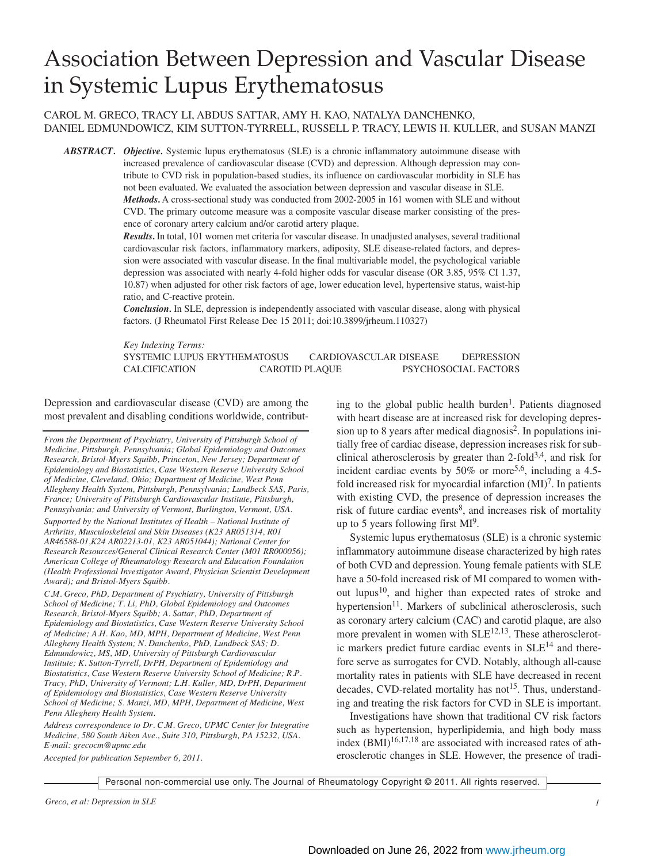# Association Between Depression and Vascular Disease in Systemic Lupus Erythematosus

CAROL M. GRECO, TRACY LI, ABDUS SATTAR, AMY H. KAO, NATALYA DANCHENKO, DANIEL EDMUNDOWICZ, KIM SUTTON-TYRRELL, RUSSELL P. TRACY, LEWIS H. KULLER, and SUSAN MANZI

*ABSTRACT. Objective.* Systemic lupus erythematosus (SLE) is a chronic inflammatory autoimmune disease with increased prevalence of cardiovascular disease (CVD) and depression. Although depression may contribute to CVD risk in population-based studies, its influence on cardiovascular morbidity in SLE has not been evaluated. We evaluated the association between depression and vascular disease in SLE. *Methods.* A cross-sectional study was conducted from 2002-2005 in 161 women with SLE and without CVD. The primary outcome measure was a composite vascular disease marker consisting of the presence of coronary artery calcium and/or carotid artery plaque.

> *Results.* In total, 101 women met criteria for vascular disease. In unadjusted analyses, several traditional cardiovascular risk factors, inflammatory markers, adiposity, SLE disease-related factors, and depression were associated with vascular disease. In the final multivariable model, the psychological variable depression was associated with nearly 4-fold higher odds for vascular disease (OR 3.85, 95% CI 1.37, 10.87) when adjusted for other risk factors of age, lower education level, hypertensive status, waist-hip ratio, and C-reactive protein.

> *Conclusion.* In SLE, depression is independently associated with vascular disease, along with physical factors. (J Rheumatol First Release Dec 15 2011; doi:10.3899/jrheum.110327)

> *Key Indexing Terms:* SYSTEMIC LUPUS ERYTHEMATOSUS CARDIOVASCULAR DISEASE DEPRESSION CALCIFICATION CAROTID PLAQUE PSYCHOSOCIAL FACTORS

Depression and cardiovascular disease (CVD) are among the most prevalent and disabling conditions worldwide, contribut-

*From the Department of Psychiatry, University of Pittsburgh School of Medicine, Pittsburgh, Pennsylvania; Global Epidemiology and Outcomes Research, Bristol-Myers Squibb, Princeton, New Jersey; Department of Epidemiology and Biostatistics, Case Western Reserve University School of Medicine, Cleveland, Ohio; Department of Medicine, West Penn Allegheny Health System, Pittsburgh, Pennsylvania; Lundbeck SAS, Paris, France; University of Pittsburgh Cardiovascular Institute, Pittsburgh, Pennsylvania; and University of Vermont, Burlington, Vermont, USA.*

*Supported by the National Institutes of Health – National Institute of Arthritis, Musculoskeletal and Skin Diseases (K23 AR051314, R01 AR46588-01,K24 AR02213-01, K23 AR051044); National Center for Research Resources/General Clinical Research Center (M01 RR000056); American College of Rheumatology Research and Education Foundation (Health Professional Investigator Award, Physician Scientist Development Award); and Bristol-Myers Squibb.*

*C.M. Greco, PhD, Department of Psychiatry, University of Pittsburgh School of Medicine; T. Li, PhD, Global Epidemiology and Outcomes Research, Bristol-Myers Squibb; A. Sattar, PhD, Department of Epidemiology and Biostatistics, Case Western Reserve University School of Medicine; A.H. Kao, MD, MPH, Department of Medicine, West Penn Allegheny Health System; N. Danchenko, PhD, Lundbeck SAS; D. Edmundowicz, MS, MD, University of Pittsburgh Cardiovascular Institute; K. Sutton-Tyrrell, DrPH, Department of Epidemiology and Biostatistics, Case Western Reserve University School of Medicine; R.P. Tracy, PhD, University of Vermont; L.H. Kuller, MD, DrPH, Department of Epidemiology and Biostatistics, Case Western Reserve University School of Medicine; S. Manzi, MD, MPH, Department of Medicine, West Penn Allegheny Health System.*

*Address correspondence to Dr. C.M. Greco, UPMC Center for Integrative Medicine, 580 South Aiken Ave., Suite 310, Pittsburgh, PA 15232, USA. E-mail: grecocm@upmc.edu* 

*Accepted for publication September 6, 2011.*

ing to the global public health burden<sup>1</sup>. Patients diagnosed with heart disease are at increased risk for developing depression up to 8 years after medical diagnosis<sup>2</sup>. In populations initially free of cardiac disease, depression increases risk for subclinical atherosclerosis by greater than 2-fold<sup>3,4</sup>, and risk for incident cardiac events by 50% or more5,6, including a 4.5 fold increased risk for myocardial infarction  $(MI)^7$ . In patients with existing CVD, the presence of depression increases the risk of future cardiac events<sup>8</sup>, and increases risk of mortality up to 5 years following first MI9.

Systemic lupus erythematosus (SLE) is a chronic systemic inflammatory autoimmune disease characterized by high rates of both CVD and depression. Young female patients with SLE have a 50-fold increased risk of MI compared to women without lupus<sup>10</sup>, and higher than expected rates of stroke and hypertension<sup>11</sup>. Markers of subclinical atherosclerosis, such as coronary artery calcium (CAC) and carotid plaque, are also more prevalent in women with  $SLE<sup>12,13</sup>$ . These atherosclerotic markers predict future cardiac events in  $SLE<sup>14</sup>$  and therefore serve as surrogates for CVD. Notably, although all-cause mortality rates in patients with SLE have decreased in recent decades, CVD-related mortality has not<sup>15</sup>. Thus, understanding and treating the risk factors for CVD in SLE is important.

Investigations have shown that traditional CV risk factors such as hypertension, hyperlipidemia, and high body mass index  $(BMI)^{16,17,18}$  are associated with increased rates of atherosclerotic changes in SLE. However, the presence of tradi-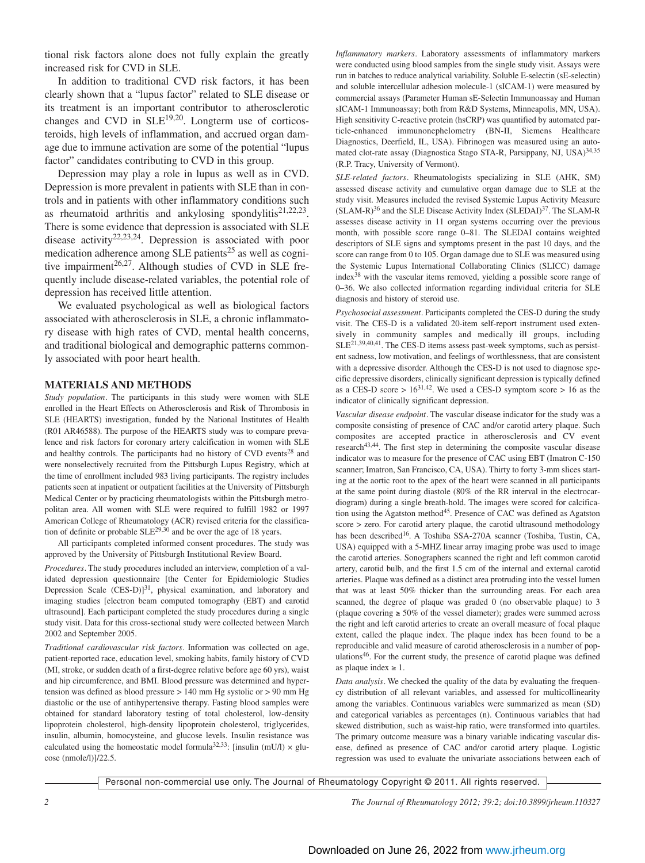tional risk factors alone does not fully explain the greatly increased risk for CVD in SLE.

In addition to traditional CVD risk factors, it has been clearly shown that a "lupus factor" related to SLE disease or its treatment is an important contributor to atherosclerotic changes and CVD in  $SLE<sup>19,20</sup>$ . Longterm use of corticosteroids, high levels of inflammation, and accrued organ damage due to immune activation are some of the potential "lupus factor" candidates contributing to CVD in this group.

Depression may play a role in lupus as well as in CVD. Depression is more prevalent in patients with SLE than in controls and in patients with other inflammatory conditions such as rheumatoid arthritis and ankylosing spondylitis $2^{1,22,23}$ . There is some evidence that depression is associated with SLE disease activity<sup>22,23,24</sup>. Depression is associated with poor medication adherence among SLE patients<sup>25</sup> as well as cognitive impairment<sup>26,27</sup>. Although studies of CVD in SLE frequently include disease-related variables, the potential role of depression has received little attention.

We evaluated psychological as well as biological factors associated with atherosclerosis in SLE, a chronic inflammatory disease with high rates of CVD, mental health concerns, and traditional biological and demographic patterns commonly associated with poor heart health.

# **MATERIALS AND METHODS**

*Study population.* The participants in this study were women with SLE enrolled in the Heart Effects on Atherosclerosis and Risk of Thrombosis in SLE (HEARTS) investigation, funded by the National Institutes of Health (R01 AR46588). The purpose of the HEARTS study was to compare prevalence and risk factors for coronary artery calcification in women with SLE and healthy controls. The participants had no history of CVD events<sup>28</sup> and were nonselectively recruited from the Pittsburgh Lupus Registry, which at the time of enrollment included 983 living participants. The registry includes patients seen at inpatient or outpatient facilities at the University of Pittsburgh Medical Center or by practicing rheumatologists within the Pittsburgh metropolitan area. All women with SLE were required to fulfill 1982 or 1997 American College of Rheumatology (ACR) revised criteria for the classification of definite or probable SLE<sup>29,30</sup> and be over the age of 18 years.

All participants completed informed consent procedures. The study was approved by the University of Pittsburgh Institutional Review Board.

*Procedures.* The study procedures included an interview, completion of a validated depression questionnaire [the Center for Epidemiologic Studies Depression Scale  $(CES-D)<sup>31</sup>$ , physical examination, and laboratory and imaging studies [electron beam computed tomography (EBT) and carotid ultrasound]. Each participant completed the study procedures during a single study visit. Data for this cross-sectional study were collected between March 2002 and September 2005.

*Traditional cardiovascular risk factors.* Information was collected on age, patient-reported race, education level, smoking habits, family history of CVD (MI, stroke, or sudden death of a first-degree relative before age 60 yrs), waist and hip circumference, and BMI. Blood pressure was determined and hypertension was defined as blood pressure > 140 mm Hg systolic or > 90 mm Hg diastolic or the use of antihypertensive therapy. Fasting blood samples were obtained for standard laboratory testing of total cholesterol, low-density lipoprotein cholesterol, high-density lipoprotein cholesterol, triglycerides, insulin, albumin, homocysteine, and glucose levels. Insulin resistance was calculated using the homeostatic model formula<sup>32,33</sup>: [insulin (mU/l)  $\times$  glucose (nmole/l)]/22.5.

*Inflammatory markers.* Laboratory assessments of inflammatory markers were conducted using blood samples from the single study visit. Assays were run in batches to reduce analytical variability. Soluble E-selectin (sE-selectin) and soluble intercellular adhesion molecule-1 (sICAM-1) were measured by commercial assays (Parameter Human sE-Selectin Immunoassay and Human sICAM-1 Immunoassay; both from R&D Systems, Minneapolis, MN, USA). High sensitivity C-reactive protein (hsCRP) was quantified by automated particle-enhanced immunonephelometry (BN-II, Siemens Healthcare Diagnostics, Deerfield, IL, USA). Fibrinogen was measured using an automated clot-rate assay (Diagnostica Stago STA-R, Parsippany, NJ, USA)<sup>34,35</sup> (R.P. Tracy, University of Vermont).

*SLE-related factors.* Rheumatologists specializing in SLE (AHK, SM) assessed disease activity and cumulative organ damage due to SLE at the study visit. Measures included the revised Systemic Lupus Activity Measure  $(SLAM-R)^{36}$  and the SLE Disease Activity Index  $(SLEDAI)^{37}$ . The SLAM-R assesses disease activity in 11 organ systems occurring over the previous month, with possible score range 0–81. The SLEDAI contains weighted descriptors of SLE signs and symptoms present in the past 10 days, and the score can range from 0 to 105. Organ damage due to SLE was measured using the Systemic Lupus International Collaborating Clinics (SLICC) damage index38 with the vascular items removed, yielding a possible score range of 0–36. We also collected information regarding individual criteria for SLE diagnosis and history of steroid use.

*Psychosocial assessment.* Participants completed the CES-D during the study visit. The CES-D is a validated 20-item self-report instrument used extensively in community samples and medically ill groups, including SLE21,39,40,41. The CES-D items assess past-week symptoms, such as persistent sadness, low motivation, and feelings of worthlessness, that are consistent with a depressive disorder. Although the CES-D is not used to diagnose specific depressive disorders, clinically significant depression is typically defined as a CES-D score >  $16^{31,42}$ . We used a CES-D symptom score > 16 as the indicator of clinically significant depression.

*Vascular disease endpoint.* The vascular disease indicator for the study was a composite consisting of presence of CAC and/or carotid artery plaque. Such composites are accepted practice in atherosclerosis and CV event research<sup>43,44</sup>. The first step in determining the composite vascular disease indicator was to measure for the presence of CAC using EBT (Imatron C-150 scanner; Imatron, San Francisco, CA, USA). Thirty to forty 3-mm slices starting at the aortic root to the apex of the heart were scanned in all participants at the same point during diastole (80% of the RR interval in the electrocardiogram) during a single breath-hold. The images were scored for calcification using the Agatston method<sup>45</sup>. Presence of CAC was defined as Agatston score > zero. For carotid artery plaque, the carotid ultrasound methodology has been described<sup>16</sup>. A Toshiba SSA-270A scanner (Toshiba, Tustin, CA, USA) equipped with a 5-MHZ linear array imaging probe was used to image the carotid arteries. Sonographers scanned the right and left common carotid artery, carotid bulb, and the first 1.5 cm of the internal and external carotid arteries. Plaque was defined as a distinct area protruding into the vessel lumen that was at least 50% thicker than the surrounding areas. For each area scanned, the degree of plaque was graded 0 (no observable plaque) to 3 (plaque covering  $\geq 50\%$  of the vessel diameter); grades were summed across the right and left carotid arteries to create an overall measure of focal plaque extent, called the plaque index. The plaque index has been found to be a reproducible and valid measure of carotid atherosclerosis in a number of populations46. For the current study, the presence of carotid plaque was defined as plaque index  $\geq 1$ .

*Data analysis.* We checked the quality of the data by evaluating the frequency distribution of all relevant variables, and assessed for multicollinearity among the variables. Continuous variables were summarized as mean (SD) and categorical variables as percentages (n). Continuous variables that had skewed distribution, such as waist-hip ratio, were transformed into quartiles. The primary outcome measure was a binary variable indicating vascular disease, defined as presence of CAC and/or carotid artery plaque. Logistic regression was used to evaluate the univariate associations between each of

Personal non-commercial use only. The Journal of Rheumatology Copyright © 2011. All rights reserved.

*2 The Journal of Rheumatology 2012; 39:2; doi:10.3899/jrheum.110327*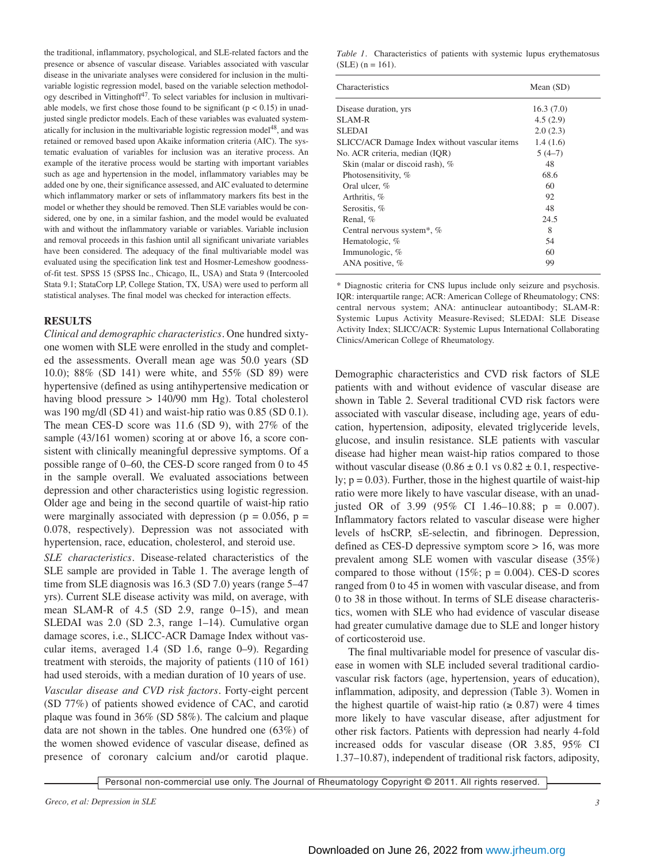the traditional, inflammatory, psychological, and SLE-related factors and the presence or absence of vascular disease. Variables associated with vascular disease in the univariate analyses were considered for inclusion in the multivariable logistic regression model, based on the variable selection methodology described in Vittinghoff<sup>47</sup>. To select variables for inclusion in multivariable models, we first chose those found to be significant  $(p < 0.15)$  in unadjusted single predictor models. Each of these variables was evaluated systematically for inclusion in the multivariable logistic regression model<sup>48</sup>, and was retained or removed based upon Akaike information criteria (AIC). The systematic evaluation of variables for inclusion was an iterative process. An example of the iterative process would be starting with important variables such as age and hypertension in the model, inflammatory variables may be added one by one, their significance assessed, and AIC evaluated to determine which inflammatory marker or sets of inflammatory markers fits best in the model or whether they should be removed. Then SLE variables would be considered, one by one, in a similar fashion, and the model would be evaluated with and without the inflammatory variable or variables. Variable inclusion and removal proceeds in this fashion until all significant univariate variables have been considered. The adequacy of the final multivariable model was evaluated using the specification link test and Hosmer-Lemeshow goodnessof-fit test. SPSS 15 (SPSS Inc., Chicago, IL, USA) and Stata 9 (Intercooled Stata 9.1; StataCorp LP, College Station, TX, USA) were used to perform all statistical analyses. The final model was checked for interaction effects.

### **RESULTS**

*Clinical and demographic characteristics.* One hundred sixtyone women with SLE were enrolled in the study and completed the assessments. Overall mean age was 50.0 years (SD 10.0); 88% (SD 141) were white, and 55% (SD 89) were hypertensive (defined as using antihypertensive medication or having blood pressure > 140/90 mm Hg). Total cholesterol was 190 mg/dl (SD 41) and waist-hip ratio was 0.85 (SD 0.1). The mean CES-D score was 11.6 (SD 9), with 27% of the sample (43/161 women) scoring at or above 16, a score consistent with clinically meaningful depressive symptoms. Of a possible range of 0–60, the CES-D score ranged from 0 to 45 in the sample overall. We evaluated associations between depression and other characteristics using logistic regression. Older age and being in the second quartile of waist-hip ratio were marginally associated with depression ( $p = 0.056$ ,  $p =$ 0.078, respectively). Depression was not associated with hypertension, race, education, cholesterol, and steroid use.

*SLE characteristics.* Disease-related characteristics of the SLE sample are provided in Table 1. The average length of time from SLE diagnosis was 16.3 (SD 7.0) years (range 5–47 yrs). Current SLE disease activity was mild, on average, with mean SLAM-R of  $4.5$  (SD  $2.9$ , range  $0-15$ ), and mean SLEDAI was 2.0 (SD 2.3, range 1–14). Cumulative organ damage scores, i.e., SLICC-ACR Damage Index without vascular items, averaged 1.4 (SD 1.6, range 0–9). Regarding treatment with steroids, the majority of patients (110 of 161) had used steroids, with a median duration of 10 years of use. *Vascular disease and CVD risk factors.* Forty-eight percent (SD 77%) of patients showed evidence of CAC, and carotid plaque was found in 36% (SD 58%). The calcium and plaque data are not shown in the tables. One hundred one (63%) of the women showed evidence of vascular disease, defined as presence of coronary calcium and/or carotid plaque.

*Table 1.* Characteristics of patients with systemic lupus erythematosus  $(SLE)$  (n = 161).

| Characteristics                               | Mean $(SD)$ |
|-----------------------------------------------|-------------|
| Disease duration, yrs                         | 16.3(7.0)   |
| SLAM-R                                        | 4.5(2.9)    |
| <b>SLEDAI</b>                                 | 2.0(2.3)    |
| SLICC/ACR Damage Index without vascular items | 1.4(1.6)    |
| No. ACR criteria, median (IQR)                | $5(4-7)$    |
| Skin (malar or discoid rash), %               | 48          |
| Photosensitivity, %                           | 68.6        |
| Oral ulcer, %                                 | 60          |
| Arthritis, %                                  | 92          |
| Serositis, %                                  | 48          |
| Renal, %                                      | 24.5        |
| Central nervous system*, %                    | 8           |
| Hematologic, %                                | 54          |
| Immunologic, %                                | 60          |
| ANA positive, %                               | 99          |

\* Diagnostic criteria for CNS lupus include only seizure and psychosis. IQR: interquartile range; ACR: American College of Rheumatology; CNS: central nervous system; ANA: antinuclear autoantibody; SLAM-R: Systemic Lupus Activity Measure-Revised; SLEDAI: SLE Disease Activity Index; SLICC/ACR: Systemic Lupus International Collaborating Clinics/American College of Rheumatology.

Demographic characteristics and CVD risk factors of SLE patients with and without evidence of vascular disease are shown in Table 2. Several traditional CVD risk factors were associated with vascular disease, including age, years of education, hypertension, adiposity, elevated triglyceride levels, glucose, and insulin resistance. SLE patients with vascular disease had higher mean waist-hip ratios compared to those without vascular disease  $(0.86 \pm 0.1 \text{ vs } 0.82 \pm 0.1, \text{ respective}$ ly;  $p = 0.03$ ). Further, those in the highest quartile of waist-hip ratio were more likely to have vascular disease, with an unadjusted OR of 3.99 (95% CI 1.46–10.88;  $p = 0.007$ ). Inflammatory factors related to vascular disease were higher levels of hsCRP, sE-selectin, and fibrinogen. Depression, defined as CES-D depressive symptom score > 16, was more prevalent among SLE women with vascular disease (35%) compared to those without  $(15\%; p = 0.004)$ . CES-D scores ranged from 0 to 45 in women with vascular disease, and from 0 to 38 in those without. In terms of SLE disease characteristics, women with SLE who had evidence of vascular disease had greater cumulative damage due to SLE and longer history of corticosteroid use.

The final multivariable model for presence of vascular disease in women with SLE included several traditional cardiovascular risk factors (age, hypertension, years of education), inflammation, adiposity, and depression (Table 3). Women in the highest quartile of waist-hip ratio ( $\geq 0.87$ ) were 4 times more likely to have vascular disease, after adjustment for other risk factors. Patients with depression had nearly 4-fold increased odds for vascular disease (OR 3.85, 95% CI 1.37–10.87), independent of traditional risk factors, adiposity,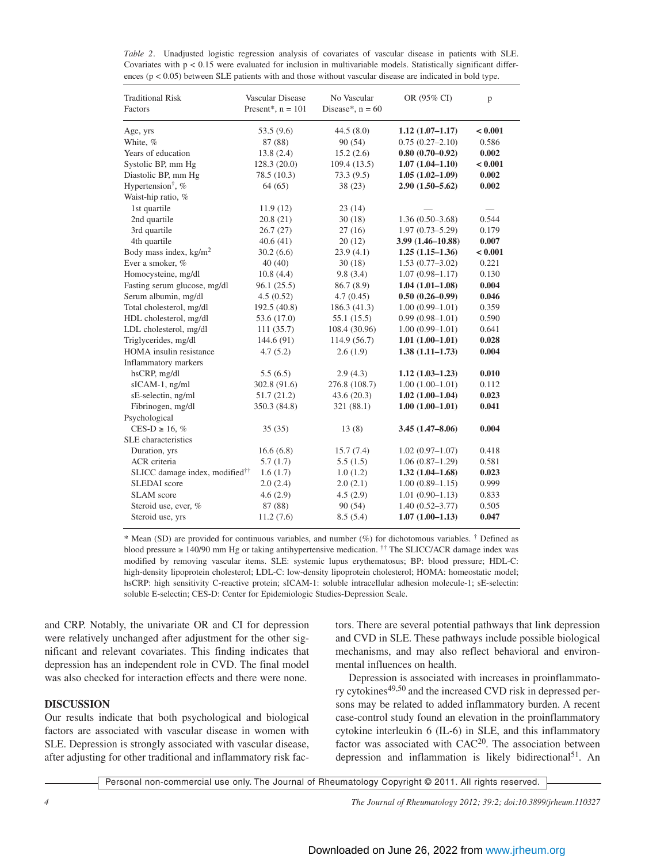| <b>Traditional Risk</b><br>Factors         | Vascular Disease<br>Present*, $n = 101$ | No Vascular<br>Disease*, $n = 60$ | OR (95% CI)         | p       |
|--------------------------------------------|-----------------------------------------|-----------------------------------|---------------------|---------|
| Age, yrs                                   | 53.5 (9.6)                              | 44.5(8.0)                         | $1.12(1.07 - 1.17)$ | < 0.001 |
| White, %                                   | 87 (88)                                 | 90(54)                            | $0.75(0.27 - 2.10)$ | 0.586   |
| Years of education                         | 13.8(2.4)                               | 15.2(2.6)                         | $0.80(0.70 - 0.92)$ | 0.002   |
| Systolic BP, mm Hg                         | 128.3(20.0)                             | 109.4(13.5)                       | $1.07(1.04 - 1.10)$ | < 0.001 |
| Diastolic BP, mm Hg                        | 78.5 (10.3)                             | 73.3(9.5)                         | $1.05(1.02 - 1.09)$ | 0.002   |
| Hypertension <sup>†</sup> , %              | 64(65)                                  | 38(23)                            | $2.90(1.50 - 5.62)$ | 0.002   |
| Waist-hip ratio, %                         |                                         |                                   |                     |         |
| 1st quartile                               | 11.9(12)                                | 23(14)                            |                     |         |
| 2nd quartile                               | 20.8(21)                                | 30(18)                            | $1.36(0.50-3.68)$   | 0.544   |
| 3rd quartile                               | 26.7(27)                                | 27(16)                            | $1.97(0.73 - 5.29)$ | 0.179   |
| 4th quartile                               | 40.6(41)                                | 20(12)                            | 3.99 (1.46-10.88)   | 0.007   |
| Body mass index, $\text{kg/m}^2$           | 30.2(6.6)                               | 23.9(4.1)                         | $1.25(1.15-1.36)$   | < 0.001 |
| Ever a smoker, %                           | 40(40)                                  | 30(18)                            | $1.53(0.77-3.02)$   | 0.221   |
| Homocysteine, mg/dl                        | 10.8(4.4)                               | 9.8(3.4)                          | $1.07(0.98 - 1.17)$ | 0.130   |
| Fasting serum glucose, mg/dl               | 96.1(25.5)                              | 86.7 (8.9)                        | $1.04(1.01-1.08)$   | 0.004   |
| Serum albumin, mg/dl                       | 4.5(0.52)                               | 4.7(0.45)                         | $0.50(0.26 - 0.99)$ | 0.046   |
| Total cholesterol, mg/dl                   | 192.5 (40.8)                            | 186.3 (41.3)                      | $1.00(0.99 - 1.01)$ | 0.359   |
| HDL cholesterol, mg/dl                     | 53.6 (17.0)                             | 55.1(15.5)                        | $0.99(0.98 - 1.01)$ | 0.590   |
| LDL cholesterol, mg/dl                     | 111(35.7)                               | 108.4 (30.96)                     | $1.00(0.99-1.01)$   | 0.641   |
| Triglycerides, mg/dl                       | 144.6 (91)                              | 114.9(56.7)                       | $1.01(1.00-1.01)$   | 0.028   |
| HOMA insulin resistance                    | 4.7(5.2)                                | 2.6(1.9)                          | $1.38(1.11 - 1.73)$ | 0.004   |
| Inflammatory markers                       |                                         |                                   |                     |         |
| hsCRP, mg/dl                               | 5.5(6.5)                                | 2.9(4.3)                          | $1.12(1.03 - 1.23)$ | 0.010   |
| sICAM-1, ng/ml                             | 302.8 (91.6)                            | 276.8 (108.7)                     | $1.00(1.00-1.01)$   | 0.112   |
| sE-selectin, ng/ml                         | 51.7(21.2)                              | 43.6(20.3)                        | $1.02(1.00-1.04)$   | 0.023   |
| Fibrinogen, mg/dl                          | 350.3 (84.8)                            | 321 (88.1)                        | $1.00(1.00 - 1.01)$ | 0.041   |
| Psychological                              |                                         |                                   |                     |         |
| CES-D $\geq$ 16, %                         | 35(35)                                  | 13(8)                             | $3.45(1.47 - 8.06)$ | 0.004   |
| <b>SLE</b> characteristics                 |                                         |                                   |                     |         |
| Duration, yrs                              | 16.6(6.8)                               | 15.7(7.4)                         | $1.02(0.97-1.07)$   | 0.418   |
| <b>ACR</b> criteria                        | 5.7(1.7)                                | 5.5(1.5)                          | $1.06(0.87-1.29)$   | 0.581   |
| SLICC damage index, modified <sup>††</sup> | 1.6(1.7)                                | 1.0(1.2)                          | $1.32(1.04 - 1.68)$ | 0.023   |
| SLEDAI score                               | 2.0(2.4)                                | 2.0(2.1)                          | $1.00(0.89 - 1.15)$ | 0.999   |
| SLAM score                                 | 4.6(2.9)                                | 4.5(2.9)                          | $1.01(0.90-1.13)$   | 0.833   |
| Steroid use, ever, %                       | 87 (88)                                 | 90(54)                            | $1.40(0.52 - 3.77)$ | 0.505   |
| Steroid use, yrs                           | 11.2(7.6)                               | 8.5(5.4)                          | $1.07(1.00 - 1.13)$ | 0.047   |

*Table 2.* Unadjusted logistic regression analysis of covariates of vascular disease in patients with SLE. Covariates with  $p < 0.15$  were evaluated for inclusion in multivariable models. Statistically significant differences ( $p < 0.05$ ) between SLE patients with and those without vascular disease are indicated in bold type.

\* Mean (SD) are provided for continuous variables, and number (%) for dichotomous variables. † Defined as blood pressure ≥ 140/90 mm Hg or taking antihypertensive medication. †† The SLICC/ACR damage index was modified by removing vascular items. SLE: systemic lupus erythematosus; BP: blood pressure; HDL-C: high-density lipoprotein cholesterol; LDL-C: low-density lipoprotein cholesterol; HOMA: homeostatic model; hsCRP: high sensitivity C-reactive protein; sICAM-1: soluble intracellular adhesion molecule-1; sE-selectin: soluble E-selectin; CES-D: Center for Epidemiologic Studies-Depression Scale.

and CRP. Notably, the univariate OR and CI for depression were relatively unchanged after adjustment for the other significant and relevant covariates. This finding indicates that depression has an independent role in CVD. The final model was also checked for interaction effects and there were none.

# **DISCUSSION**

Our results indicate that both psychological and biological factors are associated with vascular disease in women with SLE. Depression is strongly associated with vascular disease, after adjusting for other traditional and inflammatory risk factors. There are several potential pathways that link depression and CVD in SLE. These pathways include possible biological mechanisms, and may also reflect behavioral and environmental influences on health.

Depression is associated with increases in proinflammatory cytokines<sup>49,50</sup> and the increased CVD risk in depressed persons may be related to added inflammatory burden. A recent case-control study found an elevation in the proinflammatory cytokine interleukin 6 (IL-6) in SLE, and this inflammatory factor was associated with CAC<sup>20</sup>. The association between depression and inflammation is likely bidirectional<sup>51</sup>. An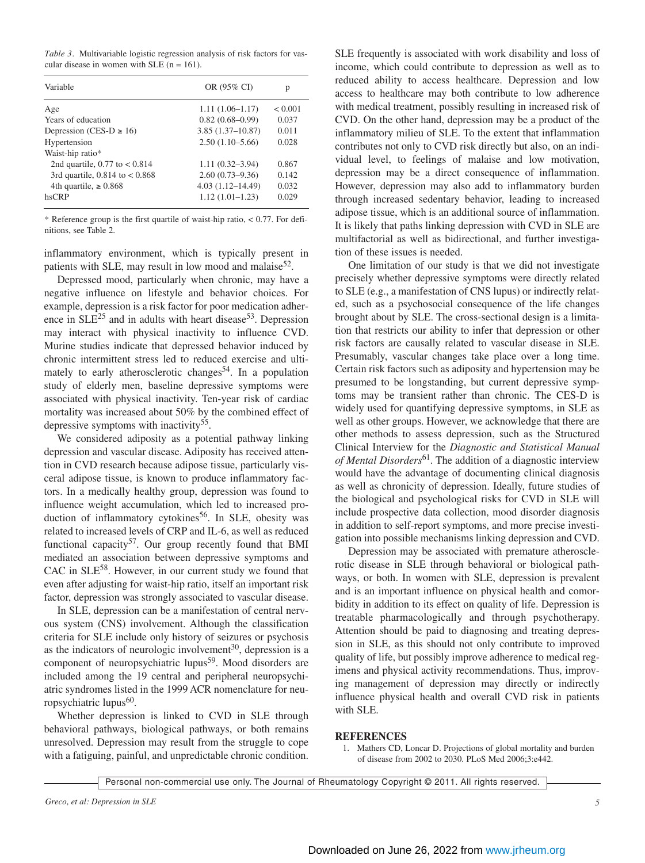*Table 3.* Multivariable logistic regression analysis of risk factors for vascular disease in women with SLE  $(n = 161)$ .

| Variable                           | OR (95% CI)          | р       |
|------------------------------------|----------------------|---------|
| Age                                | $1.11(1.06 - 1.17)$  | < 0.001 |
| Years of education                 | $0.82(0.68 - 0.99)$  | 0.037   |
| Depression (CES-D $\geq$ 16)       | $3.85(1.37-10.87)$   | 0.011   |
| Hypertension                       | $2.50(1.10-5.66)$    | 0.028   |
| Waist-hip ratio*                   |                      |         |
| 2nd quartile, $0.77$ to $< 0.814$  | $1.11(0.32 - 3.94)$  | 0.867   |
| 3rd quartile, $0.814$ to $< 0.868$ | $2.60(0.73 - 9.36)$  | 0.142   |
| 4th quartile, $\geq 0.868$         | $4.03(1.12 - 14.49)$ | 0.032   |
| hsCRP                              | $1.12(1.01-1.23)$    | 0.029   |

\* Reference group is the first quartile of waist-hip ratio, < 0.77. For definitions, see Table 2.

inflammatory environment, which is typically present in patients with SLE, may result in low mood and malaise $52$ .

Depressed mood, particularly when chronic, may have a negative influence on lifestyle and behavior choices. For example, depression is a risk factor for poor medication adherence in  $SLE^{25}$  and in adults with heart disease<sup>53</sup>. Depression may interact with physical inactivity to influence CVD. Murine studies indicate that depressed behavior induced by chronic intermittent stress led to reduced exercise and ultimately to early atherosclerotic changes<sup>54</sup>. In a population study of elderly men, baseline depressive symptoms were associated with physical inactivity. Ten-year risk of cardiac mortality was increased about 50% by the combined effect of depressive symptoms with inactivity55.

We considered adiposity as a potential pathway linking depression and vascular disease. Adiposity has received attention in CVD research because adipose tissue, particularly visceral adipose tissue, is known to produce inflammatory factors. In a medically healthy group, depression was found to influence weight accumulation, which led to increased production of inflammatory cytokines<sup>56</sup>. In SLE, obesity was related to increased levels of CRP and IL-6, as well as reduced functional capacity<sup>57</sup>. Our group recently found that BMI mediated an association between depressive symptoms and CAC in SLE58. However, in our current study we found that even after adjusting for waist-hip ratio, itself an important risk factor, depression was strongly associated to vascular disease.

In SLE, depression can be a manifestation of central nervous system (CNS) involvement. Although the classification criteria for SLE include only history of seizures or psychosis as the indicators of neurologic involvement $30$ , depression is a component of neuropsychiatric lupus<sup>59</sup>. Mood disorders are included among the 19 central and peripheral neuropsychiatric syndromes listed in the 1999 ACR nomenclature for neuropsychiatric lupus<sup>60</sup>.

Whether depression is linked to CVD in SLE through behavioral pathways, biological pathways, or both remains unresolved. Depression may result from the struggle to cope with a fatiguing, painful, and unpredictable chronic condition.

SLE frequently is associated with work disability and loss of income, which could contribute to depression as well as to reduced ability to access healthcare. Depression and low access to healthcare may both contribute to low adherence with medical treatment, possibly resulting in increased risk of CVD. On the other hand, depression may be a product of the inflammatory milieu of SLE. To the extent that inflammation contributes not only to CVD risk directly but also, on an individual level, to feelings of malaise and low motivation, depression may be a direct consequence of inflammation. However, depression may also add to inflammatory burden through increased sedentary behavior, leading to increased adipose tissue, which is an additional source of inflammation. It is likely that paths linking depression with CVD in SLE are multifactorial as well as bidirectional, and further investigation of these issues is needed.

One limitation of our study is that we did not investigate precisely whether depressive symptoms were directly related to SLE (e.g., a manifestation of CNS lupus) or indirectly related, such as a psychosocial consequence of the life changes brought about by SLE. The cross-sectional design is a limitation that restricts our ability to infer that depression or other risk factors are causally related to vascular disease in SLE. Presumably, vascular changes take place over a long time. Certain risk factors such as adiposity and hypertension may be presumed to be longstanding, but current depressive symptoms may be transient rather than chronic. The CES-D is widely used for quantifying depressive symptoms, in SLE as well as other groups. However, we acknowledge that there are other methods to assess depression, such as the Structured Clinical Interview for the *Diagnostic and Statistical Manual of Mental Disorders*61. The addition of a diagnostic interview would have the advantage of documenting clinical diagnosis as well as chronicity of depression. Ideally, future studies of the biological and psychological risks for CVD in SLE will include prospective data collection, mood disorder diagnosis in addition to self-report symptoms, and more precise investigation into possible mechanisms linking depression and CVD.

Depression may be associated with premature atherosclerotic disease in SLE through behavioral or biological pathways, or both. In women with SLE, depression is prevalent and is an important influence on physical health and comorbidity in addition to its effect on quality of life. Depression is treatable pharmacologically and through psychotherapy. Attention should be paid to diagnosing and treating depression in SLE, as this should not only contribute to improved quality of life, but possibly improve adherence to medical regimens and physical activity recommendations. Thus, improving management of depression may directly or indirectly influence physical health and overall CVD risk in patients with SLE.

# **REFERENCES**

1. Mathers CD, Loncar D. Projections of global mortality and burden of disease from 2002 to 2030. PLoS Med 2006;3:e442.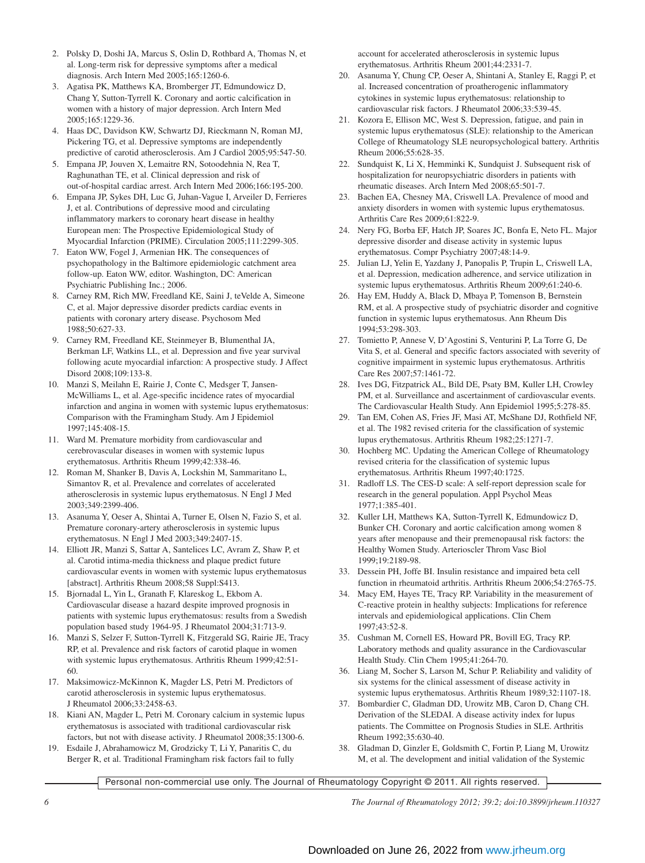- 2. Polsky D, Doshi JA, Marcus S, Oslin D, Rothbard A, Thomas N, et al. Long-term risk for depressive symptoms after a medical diagnosis. Arch Intern Med 2005;165:1260-6.
- 3. Agatisa PK, Matthews KA, Bromberger JT, Edmundowicz D, Chang Y, Sutton-Tyrrell K. Coronary and aortic calcification in women with a history of major depression. Arch Intern Med 2005;165:1229-36.
- 4. Haas DC, Davidson KW, Schwartz DJ, Rieckmann N, Roman MJ, Pickering TG, et al. Depressive symptoms are independently predictive of carotid atherosclerosis. Am J Cardiol 2005;95:547-50.
- 5. Empana JP, Jouven X, Lemaitre RN, Sotoodehnia N, Rea T, Raghunathan TE, et al. Clinical depression and risk of out-of-hospital cardiac arrest. Arch Intern Med 2006;166:195-200.
- 6. Empana JP, Sykes DH, Luc G, Juhan-Vague I, Arveiler D, Ferrieres J, et al. Contributions of depressive mood and circulating inflammatory markers to coronary heart disease in healthy European men: The Prospective Epidemiological Study of Myocardial Infarction (PRIME). Circulation 2005;111:2299-305.
- 7. Eaton WW, Fogel J, Armenian HK. The consequences of psychopathology in the Baltimore epidemiologic catchment area follow-up. Eaton WW, editor. Washington, DC: American Psychiatric Publishing Inc.; 2006.
- 8. Carney RM, Rich MW, Freedland KE, Saini J, teVelde A, Simeone C, et al. Major depressive disorder predicts cardiac events in patients with coronary artery disease. Psychosom Med 1988;50:627-33.
- 9. Carney RM, Freedland KE, Steinmeyer B, Blumenthal JA, Berkman LF, Watkins LL, et al. Depression and five year survival following acute myocardial infarction: A prospective study. J Affect Disord 2008;109:133-8.
- 10. Manzi S, Meilahn E, Rairie J, Conte C, Medsger T, Jansen-McWilliams L, et al. Age-specific incidence rates of myocardial infarction and angina in women with systemic lupus erythematosus: Comparison with the Framingham Study. Am J Epidemiol 1997;145:408-15.
- 11. Ward M. Premature morbidity from cardiovascular and cerebrovascular diseases in women with systemic lupus erythematosus. Arthritis Rheum 1999;42:338-46.
- 12. Roman M, Shanker B, Davis A, Lockshin M, Sammaritano L, Simantov R, et al. Prevalence and correlates of accelerated atherosclerosis in systemic lupus erythematosus. N Engl J Med 2003;349:2399-406.
- 13. Asanuma Y, Oeser A, Shintai A, Turner E, Olsen N, Fazio S, et al. Premature coronary-artery atherosclerosis in systemic lupus erythematosus. N Engl J Med 2003;349:2407-15.
- 14. Elliott JR, Manzi S, Sattar A, Santelices LC, Avram Z, Shaw P, et al. Carotid intima-media thickness and plaque predict future cardiovascular events in women with systemic lupus erythematosus [abstract]. Arthritis Rheum 2008;58 Suppl:S413.
- 15. Bjornadal L, Yin L, Granath F, Klareskog L, Ekbom A. Cardiovascular disease a hazard despite improved prognosis in patients with systemic lupus erythematosus: results from a Swedish population based study 1964-95. J Rheumatol 2004;31:713-9.
- 16. Manzi S, Selzer F, Sutton-Tyrrell K, Fitzgerald SG, Rairie JE, Tracy RP, et al. Prevalence and risk factors of carotid plaque in women with systemic lupus erythematosus. Arthritis Rheum 1999;42:51- 60.
- 17. Maksimowicz-McKinnon K, Magder LS, Petri M. Predictors of carotid atherosclerosis in systemic lupus erythematosus. J Rheumatol 2006;33:2458-63.
- 18. Kiani AN, Magder L, Petri M. Coronary calcium in systemic lupus erythematosus is associated with traditional cardiovascular risk factors, but not with disease activity. J Rheumatol 2008;35:1300-6.
- 19. Esdaile J, Abrahamowicz M, Grodzicky T, Li Y, Panaritis C, du Berger R, et al. Traditional Framingham risk factors fail to fully

account for accelerated atherosclerosis in systemic lupus erythematosus. Arthritis Rheum 2001;44:2331-7.

- 20. Asanuma Y, Chung CP, Oeser A, Shintani A, Stanley E, Raggi P, et al. Increased concentration of proatherogenic inflammatory cytokines in systemic lupus erythematosus: relationship to cardiovascular risk factors. J Rheumatol 2006;33:539-45.
- 21. Kozora E, Ellison MC, West S. Depression, fatigue, and pain in systemic lupus erythematosus (SLE): relationship to the American College of Rheumatology SLE neuropsychological battery. Arthritis Rheum 2006;55:628-35.
- 22. Sundquist K, Li X, Hemminki K, Sundquist J. Subsequent risk of hospitalization for neuropsychiatric disorders in patients with rheumatic diseases. Arch Intern Med 2008;65:501-7.
- 23. Bachen EA, Chesney MA, Criswell LA. Prevalence of mood and anxiety disorders in women with systemic lupus erythematosus. Arthritis Care Res 2009;61:822-9.
- 24. Nery FG, Borba EF, Hatch JP, Soares JC, Bonfa E, Neto FL. Major depressive disorder and disease activity in systemic lupus erythematosus. Compr Psychiatry 2007;48:14-9.
- 25. Julian LJ, Yelin E, Yazdany J, Panopalis P, Trupin L, Criswell LA, et al. Depression, medication adherence, and service utilization in systemic lupus erythematosus. Arthritis Rheum 2009;61:240-6.
- 26. Hay EM, Huddy A, Black D, Mbaya P, Tomenson B, Bernstein RM, et al. A prospective study of psychiatric disorder and cognitive function in systemic lupus erythematosus. Ann Rheum Dis 1994;53:298-303.
- 27. Tomietto P, Annese V, D'Agostini S, Venturini P, La Torre G, De Vita S, et al. General and specific factors associated with severity of cognitive impairment in systemic lupus erythematosus. Arthritis Care Res 2007;57:1461-72.
- 28. Ives DG, Fitzpatrick AL, Bild DE, Psaty BM, Kuller LH, Crowley PM, et al. Surveillance and ascertainment of cardiovascular events. The Cardiovascular Health Study. Ann Epidemiol 1995;5:278-85.
- 29. Tan EM, Cohen AS, Fries JF, Masi AT, McShane DJ, Rothfield NF, et al. The 1982 revised criteria for the classification of systemic lupus erythematosus. Arthritis Rheum 1982;25:1271-7.
- 30. Hochberg MC. Updating the American College of Rheumatology revised criteria for the classification of systemic lupus erythematosus. Arthritis Rheum 1997;40:1725.
- 31. Radloff LS. The CES-D scale: A self-report depression scale for research in the general population. Appl Psychol Meas 1977;1:385-401.
- 32. Kuller LH, Matthews KA, Sutton-Tyrrell K, Edmundowicz D, Bunker CH. Coronary and aortic calcification among women 8 years after menopause and their premenopausal risk factors: the Healthy Women Study. Arterioscler Throm Vasc Biol 1999;19:2189-98.
- 33. Dessein PH, Joffe BI. Insulin resistance and impaired beta cell function in rheumatoid arthritis. Arthritis Rheum 2006;54:2765-75.
- 34. Macy EM, Hayes TE, Tracy RP. Variability in the measurement of C-reactive protein in healthy subjects: Implications for reference intervals and epidemiological applications. Clin Chem 1997;43:52-8.
- 35. Cushman M, Cornell ES, Howard PR, Bovill EG, Tracy RP. Laboratory methods and quality assurance in the Cardiovascular Health Study. Clin Chem 1995;41:264-70.
- 36. Liang M, Socher S, Larson M, Schur P. Reliability and validity of six systems for the clinical assessment of disease activity in systemic lupus erythematosus. Arthritis Rheum 1989;32:1107-18.
- 37. Bombardier C, Gladman DD, Urowitz MB, Caron D, Chang CH. Derivation of the SLEDAI. A disease activity index for lupus patients. The Committee on Prognosis Studies in SLE. Arthritis Rheum 1992;35:630-40.
- 38. Gladman D, Ginzler E, Goldsmith C, Fortin P, Liang M, Urowitz M, et al. The development and initial validation of the Systemic